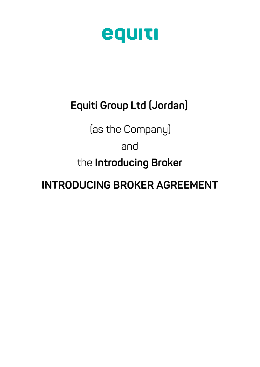

### **Equiti Group Ltd (Jordan)**

(as the Company)

and

the **Introducing Broker**

**INTRODUCING BROKER AGREEMENT**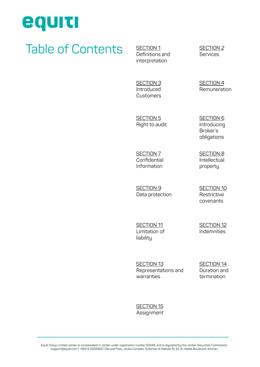

### Table of Contents SECTION<sub>1</sub>

interpretation

SECTION<sub>2</sub> **Services** 

SECTION<sub>4</sub> [Remuneration](#page-7-0)

**SECTION 3** [Introduced](#page-6-0)  Customers

SECTION 5 [Right to audit](#page-7-0) SECTION 6 [Introducing](#page-7-0)  Broker's obligations

SECTION 8 [Intellectual](#page-9-0)  property

SECTION 7 [Confidential](#page-8-0)  Information

SECTION 9 [Data protection](#page-9-0) [SECTION 10](#page-9-0) **Restrictive** covenants

SECTION 11 [Limitation of](#page-10-0)  liability

SECTION<sub>12</sub> Indemnities

SECTION 13 [Representations and](#page-10-0)  warranties

SECTION 14 [Duration and](#page-12-0)  termination

SECTION 15 **Assignment**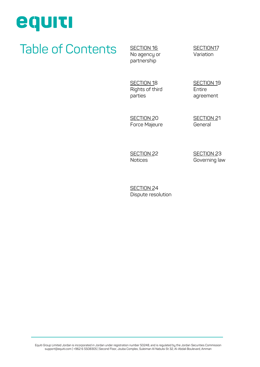# equiti

## Table of Contents SECTION 16

partnership

[SECTION17](#page-13-0) Variation

SECTION 18 [Rights of third](#page-13-0)  parties

[SECTION 19](#page-14-0) Entire agreement

SECTION 20 [Force Majeure](#page-14-0) [SECTION 21](#page-14-0) General

[SECTION 22](#page-14-0) Notices

SECTION 23 [Governing law](#page-15-0) 

SECTION 24 [Dispute resolution](#page-15-0)

Equiti Group Limited Jordan is incorporated in Jordan under registration number 50248, and is regulated by the Jordan Securities Commission support@equiti.com | +962 6 5508305 | Second Floor, Jouba Complex, Suleiman Al Nabulsi St 32, Al-Abdali Boulevard, Amman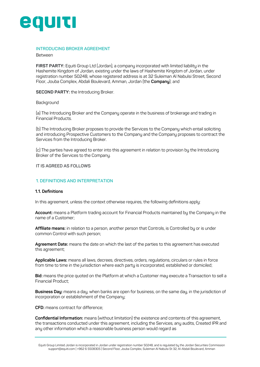<span id="page-3-0"></span>

#### **INTRODUCING BROKER AGREEMENT**

#### Between

**FIRST PARTY:** Equiti Group Ltd (Jordan), a company incorporated with limited liability in the Hashemite Kingdom of Jordan, existing under the laws of Hashemite Kingdom of Jordan, under registration number 50248, whose registered address is at 32 Suleiman Al Nabulsi Street, Second Floor, Jouba Complex, Abdali Boulevard, Amman, Jordan (the **Company**); and

**SECOND PARTY:** the Introducing Broker.

#### **Background**

(a) The Introducing Broker and the Company operate in the business of brokerage and trading in Financial Products.

(b) The Introducing Broker proposes to provide the Services to the Company which entail soliciting and introducing Prospective Customers to the Company and the Company proposes to contract the Services from the Introducing Broker.

(c) The parties have agreed to enter into this agreement in relation to provision by the Introducing Broker of the Services to the Company.

#### **IT IS AGREED AS FOLLOWS**

#### **1. DEFINITIONS AND INTERPRETATION**

#### **1.1. Definitions**

In this agreement, unless the context otherwise requires, the following definitions apply:

**Account:** means a Platform trading account for Financial Products maintained by the Company in the name of a Customer;

**Affiliate means:** in relation to a person, another person that Controls, is Controlled by or is under common Control with such person;

**Agreement Date:** means the date on which the last of the parties to this agreement has executed this agreement;

**Applicable Laws:** means all laws, decrees, directives, orders, regulations, circulars or rules in force from time to time in the jurisdiction where each party is incorporated, established or domiciled;

**Bid:** means the price quoted on the Platform at which a Customer may execute a Transaction to sell a Financial Product;

**Business Day:** means a day, when banks are open for business, on the same day, in the jurisdiction of incorporation or establishment of the Company;

**CFD:** means contract for difference;

**Confidential Information:** means (without limitation) the existence and contents of this agreement, the transactions conducted under this agreement, including the Services, any audits, Created IPR and any other information which a reasonable business person would regard as

Equiti Group Limited Jordan is incorporated in Jordan under registration number 50248, and is regulated by the Jordan Securities Commission support@equiti.com | +962 6 5508305 | Second Floor, Jouba Complex, Suleiman Al Nabulsi St 32, Al-Abdali Boulevard, Amman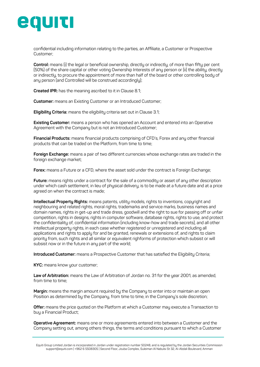

confidential including information relating to the parties, an Affiliate, a Customer or Prospective Customer;

**Control:** means (i) the legal or beneficial ownership, directly or indirectly, of more than fifty per cent (50%) of the share capital or other voting Ownership Interests of any person or (ii) the ability, directly or indirectly, to procure the appointment of more than half of the board or other controlling body of any person (and Controlled will be construed accordingly);

**Created IPR:** has the meaning ascribed to it in Clause 8.1;

**Customer:** means an Existing Customer or an Introduced Customer;

**Eligibility Criteria:** means the eligibility criteria set out in Clause 3.1;

**Existing Customer:** means a person who has opened an Account and entered into an Operative Agreement with the Company but is not an Introduced Customer;

**Financial Products:** means financial products comprising of CFD's, Forex and any other financial products that can be traded on the Platform, from time to time;

**Foreign Exchange:** means a pair of two different currencies whose exchange rates are traded in the foreign exchange market;

**Forex:** means a Future or a CFD, where the asset sold under the contract is Foreign Exchange;

**Future:** means rights under a contract for the sale of a commodity or asset of any other description under which cash settlement, in lieu of physical delivery, is to be made at a future date and at a price agreed on when the contract is made;

**Intellectual Property Rights:** means patents, utility models, rights to inventions, copyright and neighbouring and related rights, moral rights, trademarks and service marks, business names and domain names, rights in get-up and trade dress, goodwill and the right to sue for passing off or unfair competition, rights in designs, rights in computer software, database rights, rights to use, and protect the confidentiality of, confidential information (including know-how and trade secrets), and all other intellectual property rights, in each case whether registered or unregistered and including all applications and rights to apply for and be granted, renewals or extensions of, and rights to claim priority from, such rights and all similar or equivalent righforms of protection which subsist or will subsist now or in the future in any part of the world;

**Introduced Customer:** means a Prospective Customer that has satisfied the Eligibility Criteria;

**KYC:** means know your customer;

Law of Arbitration: means the Law of Arbitration of Jordan no. 31 for the year 2001, as amended, from time to time:

**Margin:** means the margin amount required by the Company to enter into or maintain an open Position as determined by the Company, from time to time, in the Company's sole discretion;

**Offer:** means the price quoted on the Platform at which a Customer may execute a Transaction to buy a Financial Product;

**Operative Agreement:** means one or more agreements entered into between a Customer and the Company setting out, among others things, the terms and conditions pursuant to which a Customer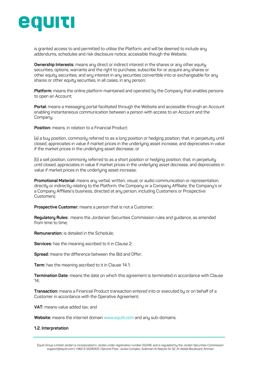

is granted access to and permitted to utilise the Platform, and will be deemed to include any addendums, schedules and risk disclosure notice, accessible though the Website;

**Ownership Interests:** means any direct or indirect interest in the shares or any other equity securities, options, warrants and the right to purchase, subscribe for or acquire any shares or other equity securities, and any interest in any securities convertible into or exchangeable for any shares or other equity securities, in all cases, in any person;

**Platform:** means the online platform maintained and operated by the Company that enables persons to open an Account;

**Portal:** means a messaging portal facilitated through the Website and accessible through an Account enabling instantaneous communication between a person with access to an Account and the Company;

**Position:** means, in relation to a Financial Product:

(a) a buy position, commonly referred to as a long position or hedging position, that, in perpetuity until closed, appreciates in value if market prices in the underlying asset increase, and depreciates in value if the market prices in the underlying asset decrease; or

(b) a sell position, commonly referred to as a short position or hedging position, that, in perpetuity until closed, appreciates in value if market prices in the underlying asset decrease, and depreciates in value if market prices in the underlying asset increase;

**Promotional Material:** means any verbal, written, visual, or audio communication or representation, directly or indirectly relating to the Platform, the Company or a Company Affiliate, the Company's or a Company Affiliate's business, directed at any person, including Customers or Prospective Customers;

**Prospective Customer:** means a person that is not a Customer;

**Regulatory Rules:** means the Jordanian Securities Commission rules and guidance, as amended from time to time;

**Remuneration:** is detailed in the Schedule;

**Services:** has the meaning ascribed to it in Clause 2;

**Spread:** means the difference between the Bid and Offer;

**Term:** has the meaning ascribed to it in Clause 14.1;

**Termination Date:** means the date on which this agreement is terminated in accordance with Clause 14;

**Transaction:** means a Financial Product transaction entered into or executed by or on behalf of a Customer in accordance with the Operative Agreement;

**VAT:** means value added tax; and

**Website:** means the internet domain www.equiti.com and any sub-domains.

#### **1.2. Interpretation**

Equiti Group Limited Jordan is incorporated in Jordan under registration number 50248, and is regulated by the Jordan Securities Commission support@equiti.com | +962 6 5508305 | Second Floor, Jouba Complex, Suleiman Al Nabulsi St 32, Al-Abdali Boulevard, Amman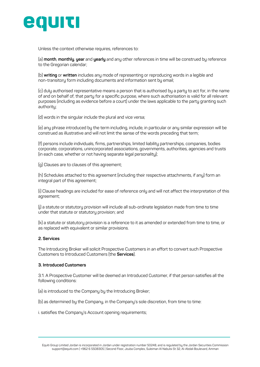<span id="page-6-0"></span>

Unless the context otherwise requires, references to:

(a) **month**, **monthly**, **year** and **yearly** and any other references in time will be construed by reference to the Gregorian calendar;

(b) **writing** or **written** includes any mode of representing or reproducing words in a legible and non-transitory form including documents and information sent by email;

(c) duly authorised representative means a person that is authorised by a party to act for, in the name of and on behalf of, that party for a specific purpose, where such authorisation is valid for all relevant purposes (including as evidence before a court) under the laws applicable to the party granting such authoritu;

(d) words in the singular include the plural and vice versa;

(e) any phrase introduced by the term including, include, in particular or any similar expression will be construed as illustrative and will not limit the sense of the words preceding that term;

(f) persons include individuals, firms, partnerships, limited liability partnerships, companies, bodies corporate, corporations, unincorporated associations, governments, authorities, agencies and trusts (in each case, whether or not having separate legal personality);

(g) Clauses are to clauses of this agreement;

(h) Schedules attached to this agreement (including their respective attachments, if any) form an integral part of this agreement;

(i) Clause headings are included for ease of reference only and will not affect the interpretation of this agreement;

(j) a statute or statutory provision will include all sub-ordinate legislation made from time to time under that statute or statutory provision; and

(k) a statute or statutory provision is a reference to it as amended or extended from time to time, or as replaced with equivalent or similar provisions.

#### **2. Services**

The Introducing Broker will solicit Prospective Customers in an effort to convert such Prospective Customers to Introduced Customers (the **Services**).

#### **3. Introduced Customers**

3.1. A Prospective Customer will be deemed an Introduced Customer, if that person satisfies all the following conditions:

(a) is introduced to the Company by the Introducing Broker;

(b) as determined by the Company, in the Company's sole discretion, from time to time:

i. satisfies the Company's Account opening requirements;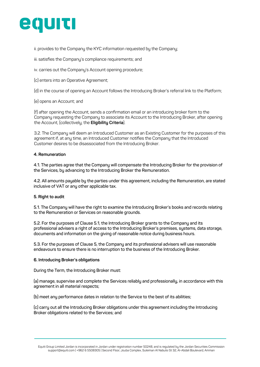<span id="page-7-0"></span>

ii. provides to the Company the KYC information requested by the Company;

iii. satisfies the Company's compliance requirements; and

iv. carries out the Company's Account opening procedure;

(c) enters into an Operative Agreement;

(d) in the course of opening an Account follows the Introducing Broker's referral link to the Platform;

(e) opens an Account; and

(f) after opening the Account, sends a confirmation email or an introducing broker form to the Company requesting the Company to associate its Account to the Introducing Broker, after opening the Account, (collectively, the **Eligibility Criteria**).

3.2. The Company will deem an Introduced Customer as an Existing Customer for the purposes of this agreement if, at any time, an Introduced Customer notifies the Company that the Introduced Customer desires to be disassociated from the Introducing Broker.

#### **4. Remuneration**

**4.1. The parties agree that the Company will compensate the Introducing Broker for the provision of the Services, by advancing to the Introducing Broker the Remuneration.**

**4.2. All amounts payable by the parties under this agreement, including the Remuneration, are stated inclusive of VAT or any other applicable tax.**

#### **5. Right to audit**

**5.1. The Company will have the right to examine the Introducing Broker's books and records relating to the Remuneration or Services on reasonable grounds.**

**5.2. For the purposes of Clause 5.1, the Introducing Broker grants to the Company and its professional advisers a right of access to the Introducing Broker's premises, systems, data storage, documents and information on the giving of reasonable notice during business hours.** 

**5.3. For the purposes of Clause 5, the Company and its professional advisers will use reasonable endeavours to ensure there is no interruption to the business of the Introducing Broker.**

#### **6. Introducing Broker's obligations**

**During the Term, the Introducing Broker must:**

**(a) manage, supervise and complete the Services reliably and professionally, in accordance with this agreement in all material respects;**

**(b) meet any performance dates in relation to the Service to the best of its abilities;**

**(c) carry out all the Introducing Broker obligations under this agreement including the Introducing Broker obligations related to the Services; and**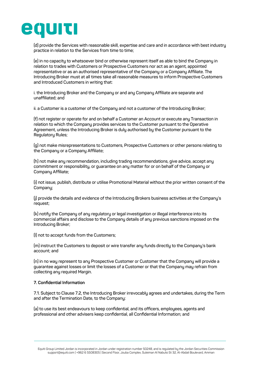<span id="page-8-0"></span>

**(d) provide the Services with reasonable skill, expertise and care and in accordance with best industry practice in relation to the Services from time to time;**

**(e) in no capacity to whatsoever bind or otherwise represent itself as able to bind the Company in relation to trades with Customers or Prospective Customers nor act as an agent, appointed representative or as an authorised representative of the Company or a Company Affiliate. The Introducing Broker must at all times take all reasonable measures to inform Prospective Customers and Introduced Customers in writing that:**

**i. the Introducing Broker and the Company or and any Company Affiliate are separate and unaffiliated; and** 

**ii. a Customer is a customer of the Company and not a customer of the Introducing Broker;**

**(f) not register or operate for and on behalf a Customer an Account or execute any Transaction in relation to which the Company provides services to the Customer pursuant to the Operative Agreement, unless the Introducing Broker is duly authorised by the Customer pursuant to the Regulatory Rules;**

**(g) not make misrepresentations to Customers, Prospective Customers or other persons relating to the Company or a Company Affiliate;**

**(h) not make any recommendation, including trading recommendations, give advice, accept any commitment or responsibility, or guarantee on any matter for or on behalf of the Company or Company Affiliate;**

**(i) not issue, publish, distribute or utilise Promotional Material without the prior written consent of the Company;** 

**(j) provide the details and evidence of the Introducing Brokers business activities at the Company's request;**

**(k) notify the Company of any regulatory or legal investigation or illegal interference into its commercial affairs and disclose to the Company details of any previous sanctions imposed on the Introducing Broker;**

**(l) not to accept funds from the Customers;** 

**(m) instruct the Customers to deposit or wire transfer any funds directly to the Company's bank account; and**

**(n) in no way represent to any Prospective Customer or Customer that the Company will provide a guarantee against losses or limit the losses of a Customer or that the Company may refrain from collecting any required Margin.** 

#### **7. Confidential Information**

**7.1. Subject to Clause 7.2' the Introducing Broker irrevocably agrees and undertakes, during the Term and after the Termination Date, to the Company:**

**(a) to use its best endeavours to keep confidential, and its officers, employees, agents and professional and other advisers keep confidential, all Confidential Information; and**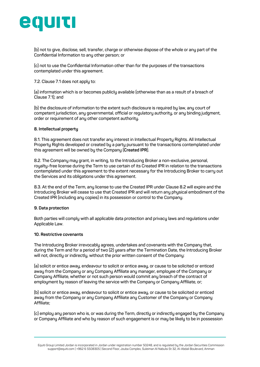<span id="page-9-0"></span>

**(b) not to give, disclose, sell, transfer, charge or otherwise dispose of the whole or any part of the Confidential Information to any other person; or**

**(c) not to use the Confidential Information other than for the purposes of the transactions contemplated under this agreement.**

**7.2. Clause 7.1 does not apply to:**

**(a) information which is or becomes publicly available (otherwise than as a result of a breach of Clause 7.1); and**

**(b) the disclosure of information to the extent such disclosure is required by law, any court of competent jurisdiction, any governmental, official or regulatory authority, or any binding judgment, order or requirement of any other competent authority.** 

#### **8. Intellectual property**

**8.1. This agreement does not transfer any interest in Intellectual Property Rights. All Intellectual Property Rights developed or created by a party pursuant to the transactions contemplated under this agreement will be owned by the Company (Created IPR).**

**8.2. The Company may grant, in writing, to the Introducing Broker a non-exclusive, personal, royalty-free license during the Term to use certain of its Created IPR in relation to the transactions contemplated under this agreement to the extent necessary for the Introducing Broker to carry out the Services and its obligations under this agreement.**

**8.3. At the end of the Term, any license to use the Created IPR under Clause 8.2 will expire and the Introducing Broker will cease to use that Created IPR and will return any physical embodiment of the Created IPR (including any copies) in its possession or control to the Company.**

#### **9. Data protection**

**Both parties will comply with all applicable data protection and privacy laws and regulations under Applicable Law.**

#### **10. Restrictive covenants**

**The Introducing Broker irrevocably agrees, undertakes and covenants with the Company that, during the Term and for a period of two (2) years after the Termination Date, the Introducing Broker will not, directly or indirectly, without the prior written consent of the Company:**

**(a) solicit or entice away, endeavour to solicit or entice away, or cause to be solicited or enticed away from the Company or any Company Affiliate any manager, employee of the Company or Company Affiliate, whether or not such person would commit any breach of the contract of employment by reason of leaving the service with the Company or Company Affiliate, or;**

**(b) solicit or entice away, endeavour to solicit or entice away, or cause to be solicited or enticed away from the Company or any Company Affiliate any Customer of the Company or Company Affiliate;**

**(c) employ any person who is, or was during the Term, directly or indirectly engaged by the Company or Company Affiliate and who by reason of such engagement is or may be likely to be in possession** 

Equiti Group Limited Jordan is incorporated in Jordan under registration number 50248, and is regulated by the Jordan Securities Commission support@equiti.com | +962 6 5508305 | Second Floor, Jouba Complex, Suleiman Al Nabulsi St 32, Al-Abdali Boulevard, Amman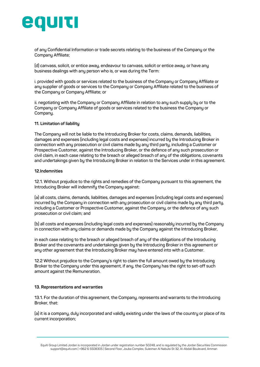<span id="page-10-0"></span>

**of any Confidential Information or trade secrets relating to the business of the Company or the Company Affiliate;**

**(d) canvass, solicit, or entice away, endeavour to canvass, solicit or entice away, or have any business dealings with any person who is, or was during the Term:**

**i. provided with goods or services related to the business of the Company or Company Affiliate or any supplier of goods or services to the Company or Company Affiliate related to the business of the Company or Company Affiliate; or**

**ii. negotiating with the Company or Company Affiliate in relation to any such supply by or to the Company or Company Affiliate of goods or services related to the business the Company or Company.**

#### **11. Limitation of liability**

**The Company will not be liable to the Introducing Broker for costs, claims, demands, liabilities, damages and expenses (including legal costs and expenses) incurred by the Introducing Broker in connection with any prosecution or civil claims made by any third party, including a Customer or Prospective Customer, against the Introducing Broker, or the defence of any such prosecution or civil claim, in each case relating to the breach or alleged breach of any of the obligations, covenants and undertakings given by the Introducing Broker in relation to the Services under in this agreement.**

#### **12.Indemnities**

**12.1. Without prejudice to the rights and remedies of the Company pursuant to this agreement, the Introducing Broker will indemnify the Company against:**

**(a) all costs, claims, demands, liabilities, damages and expenses (including legal costs and expenses) incurred by the Company in connection with any prosecution or civil claims made by any third party, including a Customer or Prospective Customer, against the Company, or the defence of any such prosecution or civil claim; and** 

**(b) all costs and expenses (including legal costs and expenses) reasonably incurred by the Company in connection with any claims or demands made by the Company against the Introducing Broker,**

**in each case relating to the breach or alleged breach of any of the obligations of the Introducing Broker and the covenants and undertakings given by the Introducing Broker in this agreement or any other agreement that the Introducing Broker may have entered into with a Customer.**

**12.2 Without prejudice to the Company's right to claim the full amount owed by the Introducing Broker to the Company under this agreement, if any, the Company has the right to set-off such amount against the Remuneration.** 

#### **13. Representations and warranties**

**13.1. For the duration of this agreement, the Company, represents and warrants to the Introducing Broker, that:**

**(a) it is a company, duly incorporated and validly existing under the laws of the country or place of its current incorporation;**

Equiti Group Limited Jordan is incorporated in Jordan under registration number 50248, and is regulated by the Jordan Securities Commission support@equiti.com | +962 6 5508305 | Second Floor, Jouba Complex, Suleiman Al Nabulsi St 32, Al-Abdali Boulevard, Amman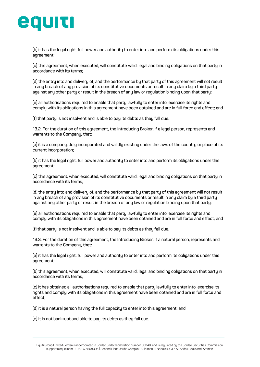

**(b) it has the legal right, full power and authority to enter into and perform its obligations under this agreement;**

**(c) this agreement, when executed, will constitute valid, legal and binding obligations on that party in accordance with its terms;** 

**(d) the entry into and delivery of, and the performance by that party of this agreement will not result in any breach of any provision of its constitutive documents or result in any claim by a third party against any other party or result in the breach of any law or regulation binding upon that party;**

**(e) all authorisations required to enable that party lawfully to enter into, exercise its rights and comply with its obligations in this agreement have been obtained and are in full force and effect; and**

**(f) that party is not insolvent and is able to pay its debts as they fall due.**

**13.2. For the duration of this agreement, the Introducing Broker, if a legal person, represents and warrants to the Company, that:**

**(a) it is a company, duly incorporated and validly existing under the laws of the country or place of its current incorporation;**

**(b) it has the legal right, full power and authority to enter into and perform its obligations under this agreement;**

**(c) this agreement, when executed, will constitute valid, legal and binding obligations on that party in accordance with its terms;** 

**(d) the entry into and delivery of, and the performance by that party of this agreement will not result in any breach of any provision of its constitutive documents or result in any claim by a third party against any other party or result in the breach of any law or regulation binding upon that party;**

**(e) all authorisations required to enable that party lawfully to enter into, exercise its rights and comply with its obligations in this agreement have been obtained and are in full force and effect; and**

**(f) that party is not insolvent and is able to pay its debts as they fall due.**

**13.3. For the duration of this agreement, the Introducing Broker, if a natural person, represents and warrants to the Company, that:**

**(a) it has the legal right, full power and authority to enter into and perform its obligations under this agreement;**

**(b) this agreement, when executed, will constitute valid, legal and binding obligations on that party in accordance with its terms;** 

**(c) it has obtained all authorisations required to enable that party lawfully to enter into, exercise its rights and comply with its obligations in this agreement have been obtained and are in full force and effect;** 

**(d) it is a natural person having the full capacity to enter into this agreement; and** 

**(e) it is not bankrupt and able to pay its debts as they fall due.**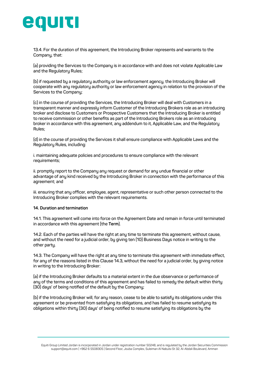<span id="page-12-0"></span>

**13.4. For the duration of this agreement, the Introducing Broker represents and warrants to the Company, that:**

**(a) providing the Services to the Company is in accordance with and does not violate Applicable Law and the Regulatory Rules;** 

**(b) if requested by a regulatory authority or law enforcement agency, the Introducing Broker will cooperate with any regulatory authority or law enforcement agency in relation to the provision of the Services to the Company;**

**(c) in the course of providing the Services, the Introducing Broker will deal with Customers in a transparent manner and expressly inform Customer of the Introducing Brokers role as an introducing broker and disclose to Customers or Prospective Customers that the Introducing Broker is entitled to receive commission or other benefits as part of the Introducing Brokers role as an introducing broker in accordance with this agreement, any addendum to it, Applicable Law, and the Regulatory Rules;**

**(d) in the course of providing the Services it shall ensure compliance with Applicable Laws and the Regulatory Rules, including:**

**i. maintaining adequate policies and procedures to ensure compliance with the relevant requirements;**

**ii. promptly report to the Company any request or demand for any undue financial or other advantage of any kind received by the Introducing Broker in connection with the performance of this agreement; and**

**iii. ensuring that any officer, employee, agent, representative or such other person connected to the Introducing Broker complies with the relevant requirements.**

#### **14. Duration and termination**

**14.1. This agreement will come into force on the Agreement Date and remain in force until terminated in accordance with this agreement (the Term).**

**14.2. Each of the parties will have the right at any time to terminate this agreement, without cause, and without the need for a judicial order, by giving ten (10) Business Days notice in writing to the other party.**

**14.3. The Company will have the right at any time to terminate this agreement with immediate effect, for any of the reasons listed in this Clause 14.3' without the need for a judicial order, by giving notice in writing to the Introducing Broker:**

**(a) if the Introducing Broker defaults to a material extent in the due observance or performance of any of the terms and conditions of this agreement and has failed to remedy the default within thirty (30) days' of being notified of the default by the Company;**

**(b) if the Introducing Broker will, for any reason, cease to be able to satisfy its obligations under this agreement or be prevented from satisfying its obligations, and has failed to resume satisfying its obligations within thirty (30) days' of being notified to resume satisfying its obligations by the**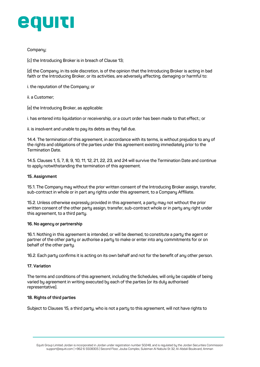<span id="page-13-0"></span>

#### **Company;**

**(c) the Introducing Broker is in breach of Clause 13;**

**(d) the Company, in its sole discretion, is of the opinion that the Introducing Broker is acting in bad faith or the Introducing Broker, or its activities, are adversely affecting, damaging or harmful to:**

**i. the reputation of the Company; or**

**ii. a Customer;**

**(e) the Introducing Broker, as applicable:**

**i. has entered into liquidation or receivership, or a court order has been made to that effect.; or** 

**ii. is insolvent and unable to pay its debts as they fall due.**

**14.4. The termination of this agreement, in accordance with its terms, is without prejudice to any of the rights and obligations of the parties under this agreement existing immediately prior to the Termination Date.**

**14.5. Clauses 1, 5, 7, 8, 9, 10, 11, 12, 21, 22, 23, and 24 will survive the Termination Date and continue to apply notwithstanding the termination of this agreement.**

#### **15. Assignment**

**15.1. The Company may without the prior written consent of the Introducing Broker assign, transfer, sub-contract in whole or in part any rights under this agreement, to a Company Affiliate.** 

**15.2. Unless otherwise expressly provided in this agreement, a party may not without the prior written consent of the other party assign, transfer, sub-contract whole or in party any right under this agreement, to a third party.** 

#### **16. No agency or partnership**

**16.1. Nothing in this agreement is intended, or will be deemed, to constitute a party the agent or partner of the other party or authorise a party to make or enter into any commitments for or on behalf of the other party.**

**16.2. Each party confirms it is acting on its own behalf and not for the benefit of any other person.**

#### **17. Variation**

**The terms and conditions of this agreement, including the Schedules, will only be capable of being varied by agreement in writing executed by each of the parties (or its duly authorised representative).**

#### **18. Rights of third parties**

**Subject to Clauses 15, a third party, who is not a party to this agreement, will not have rights to**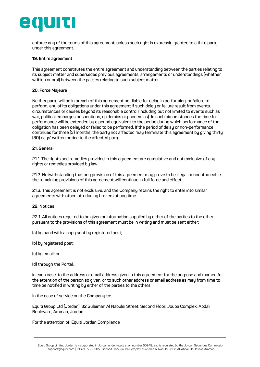## <span id="page-14-0"></span>egurt

**enforce any of the terms of this agreement, unless such right is expressly granted to a third party under this agreement.**

#### **19. Entire agreement**

**This agreement constitutes the entire agreement and understanding between the parties relating to its subject matter and supersedes previous agreements, arrangements or understandings (whether written or oral) between the parties relating to such subject matter.** 

#### **20. Force Majeure**

**Neither party will be in breach of this agreement nor liable for delay in performing, or failure to perform, any of its obligations under this agreement if such delay or failure result from events, circumstances or causes beyond its reasonable control (including but not limited to events such as war, political embargos or sanctions, epidemics or pandemics). In such circumstances the time for performance will be extended by a period equivalent to the period during which performance of the obligation has been delayed or failed to be performed. If the period of delay or non-performance continues for three (3) months, the party not affected may terminate this agreement by giving thirty (30) days' written notice to the affected party.**

#### **21. General**

**21.1. The rights and remedies provided in this agreement are cumulative and not exclusive of any rights or remedies provided by law.**

**21.2. Notwithstanding that any provision of this agreement may prove to be illegal or unenforceable, the remaining provisions of this agreement will continue in full force and effect.**

**21.3. This agreement is not exclusive, and the Company retains the right to enter into similar agreements with other introducing brokers at any time.**

#### **22. Notices**

**22.1. All notices required to be given or information supplied by either of the parties to the other pursuant to the provisions of this agreement must be in writing and must be sent either:**

**(a) by hand with a copy sent by registered post;**

- **(b) by registered post;**
- **(c) by email; or**
- **(d) through the Portal,**

**in each case, to the address or email address given in this agreement for the purpose and marked for the attention of the person so given, or to such other address or email address as may from time to time be notified in writing by either of the parties to the others.**

**In the case of service on the Company to:**

**Equiti Group Ltd (Jordan), 32 Suleiman Al Nabulsi Street, Second Floor, Jouba Complex, Abdali Boulevard, Amman, Jordan**

**For the attention of: Equiti Jordan Compliance**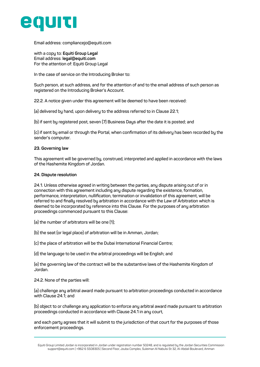<span id="page-15-0"></span>

**Email address: compliancejo@equiti.com** 

**with a copy to: [Equiti Group Legal](https://www.equiti.com/legal-documentation/)  Email address: legal@equiti.com For the attention of: Equiti Group Legal** 

**In the case of service on the Introducing Broker to:**

**Such person, at such address, and for the attention of and to the email address of such person as registered on the Introducing Broker's Account.**

**22.2. A notice given under this agreement will be deemed to have been received:**

**(a) delivered by hand, upon delivery to the address referred to in Clause 22.1;**

**(b) if sent by registered post, seven (7) Business Days after the date it is posted; and**

**(c) if sent by email or through the Portal, when confirmation of its delivery has been recorded by the sender's computer.**

#### **23. Governing law**

**This agreement will be governed by, construed, interpreted and applied in accordance with the laws of the Hashemite Kingdom of Jordan.**

#### **24. Dispute resolution**

**24.1. Unless otherwise agreed in writing between the parties, any dispute arising out of or in connection with this agreement including any dispute regarding the existence, formation, performance, interpretation, nullification, termination or invalidation of this agreement, will be referred to and finally resolved by arbitration in accordance with the Law of Arbitration which is deemed to be incorporated by reference into this Clause. For the purposes of any arbitration proceedings commenced pursuant to this Clause:**

- **(a) the number of arbitrators will be one (1);**
- **(b) the seat (or legal place) of arbitration will be in Amman, Jordan;**
- **(c) the place of arbitration will be the Dubai International Financial Centre;**

**(d) the language to be used in the arbitral proceedings will be English; and**

**(e) the governing law of the contract will be the substantive laws of the Hashemite Kingdom of Jordan.**

#### **24.2. None of the parties will:**

**(a) challenge any arbitral award made pursuant to arbitration proceedings conducted in accordance with Clause 24.1; and**

**(b) object to or challenge any application to enforce any arbitral award made pursuant to arbitration proceedings conducted in accordance with Clause 24.1 in any court,**

**and each party agrees that it will submit to the jurisdiction of that court for the purposes of those enforcement proceedings.**

Equiti Group Limited Jordan is incorporated in Jordan under registration number 50248, and is regulated by the Jordan Securities Commission support@equiti.com | +962 6 5508305 | Second Floor, Jouba Complex, Suleiman Al Nabulsi St 32, Al-Abdali Boulevard, Amman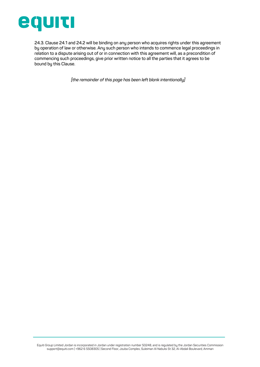

**24.3. Clause 24.1 and 24.2 will be binding on any person who acquires rights under this agreement by operation of law or otherwise. Any such person who intends to commence legal proceedings in relation to a dispute arising out of or in connection with this agreement will, as a precondition of commencing such proceedings, give prior written notice to all the parties that it agrees to be bound by this Clause.**

*[the remainder of this page has been left blank intentionally]*